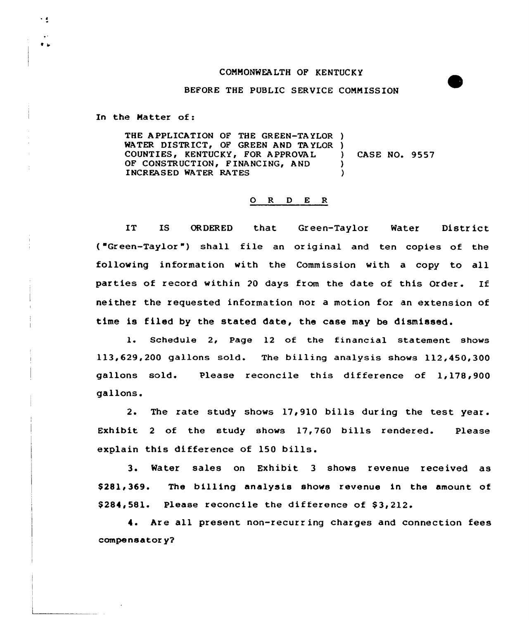## CONHONWEALTH OF KENTUCKY

## BEFORE THE PUBLIC SERVICE CONNISSION

In the Matter of:

 $\frac{1}{2}$ 

 $\bullet$   $\sim$ 

THE APPLICATION OF THE GREEN-TA YLOR ) WATER DISTRICT, OF GREEN AND TAYLOR )<br>COUNTIES, KENTUCKY, FOR APPROVAL COUNTIES, KENTUCKY, FOR A PPROVAL OF CONSTRUCTION, FINANCING, AND )<br>INCREASED WATER RATES INCREASED WATER RATES CASE NO. 9557

## 0 R <sup>D</sup> E <sup>R</sup>

IT IS ORDERED that Green-Taylor Water District ("Green-Taylor") shall file an original and ten copies of the following information with the Commission with a copy to all parties of record within <sup>20</sup> days from the date of this Order. If neither the requested information nor a motion for an extension of time is filed by the stated date, the case may be dismissed.

l. Schedule 2, Page <sup>12</sup> of the financial statement shows 113,629,200 gallons sold. The billing analysis shows 112,450,300 gallons sold. Please reconcile this difference of 1,178,900 gallons.

2. The rate study shows 17,910 bills during the test year. Exhibit <sup>2</sup> of the study shows 17,760 bills rendered. Please explain this difference of 150 bills.

3. Water sales on Exhibit <sup>3</sup> shows revenue received as \$281,369. The billing analysis shows revenue in the amount of  $$284,581.$  Please reconcile the difference of  $$3,212.$ 

4. Are all present non-recurring charges and connection fees compensator y?